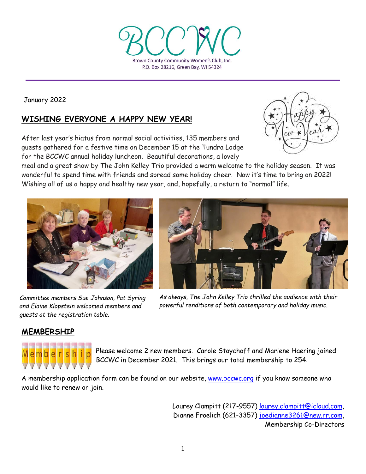

January 2022

# **WISHING EVERYONE A HAPPY NEW YEAR!**

After last year's hiatus from normal social activities, 135 members and guests gathered for a festive time on December 15 at the Tundra Lodge for the BCCWC annual holiday luncheon. Beautiful decorations, a lovely



meal and a great show by The John Kelley Trio provided a warm welcome to the holiday season. It was wonderful to spend time with friends and spread some holiday cheer. Now it's time to bring on 2022! Wishing all of us a happy and healthy new year, and, hopefully, a return to "normal" life.



 *and Elaine Klopstein welcomed members and Committee members Sue Johnson, Pat Syring guests at the registration table.*



*As always, The John Kelley Trio thrilled the audience with their powerful renditions of both contemporary and holiday music.*

# **MEMBERSHIP**



Please welcome 2 new members. Carole Stoychoff and Marlene Haering joined BCCWC in December 2021. This brings our total membership to 254.

A membership application form can be found on our website, [www.bccwc.org](http://www.bccwc.org/) if you know someone who would like to renew or join.

> Laurey Clampitt (217-9557) [laurey.clampitt@icloud.com,](mailto:laurey.clampitt@icloud.com) Dianne Froelich (621-3357) [joedianne3261@new.rr.com,](mailto:joedianne3261@new.rr.com) Membership Co-Directors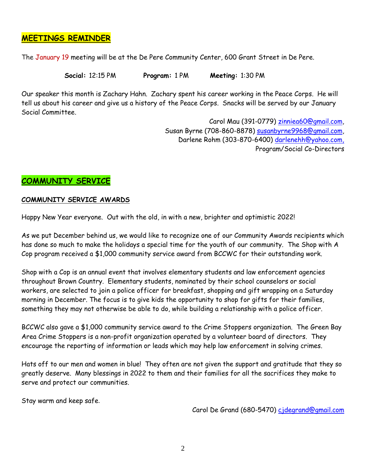#### **MEETINGS REMINDER**

The January 19 meeting will be at the De Pere Community Center, 600 Grant Street in De Pere.

 **Social:** 12:15 PM **Program:** 1 PM **Meeting:** 1:30 PM

Our speaker this month is Zachary Hahn. Zachary spent his career working in the Peace Corps. He will tell us about his career and give us a history of the Peace Corps. Snacks will be served by our January Social Committee.

> Carol Mau (391-0779) [zinniea60@gmail.com,](mailto:zinniea60@gmail.com) Susan Byrne (708-860-8878) [susanbyrne9968@gmail.com,](mailto:susanbyrne9968@gmail.com) Darlene Rohm (303-870-6400) [darlenehh@yahoo.com,](mailto:darlenehh@yahoo.com) Program/Social Co-Directors

# **COMMUNITY SERVICE**

#### **COMMUNITY SERVICE AWARDS**

Happy New Year everyone. Out with the old, in with a new, brighter and optimistic 2022!

As we put December behind us, we would like to recognize one of our Community Awards recipients which has done so much to make the holidays a special time for the youth of our community. The Shop with A Cop program received a \$1,000 community service award from BCCWC for their outstanding work.

Shop with a Cop is an annual event that involves elementary students and law enforcement agencies throughout Brown Country. Elementary students, nominated by their school counselors or social workers, are selected to join a police officer for breakfast, shopping and gift wrapping on a Saturday morning in December. The focus is to give kids the opportunity to shop for gifts for their families, something they may not otherwise be able to do, while building a relationship with a police officer.

BCCWC also gave a \$1,000 community service award to the Crime Stoppers organization. The Green Bay Area Crime Stoppers is a non-profit organization operated by a volunteer board of directors. They encourage the reporting of information or leads which may help law enforcement in solving crimes.

Hats off to our men and women in blue! They often are not given the support and gratitude that they so greatly deserve. Many blessings in 2022 to them and their families for all the sacrifices they make to serve and protect our communities.

Stay warm and keep safe.

Carol De Grand (680-5470) [cjdegrand@gmail.com](mailto:cjdegrand@gmail.com)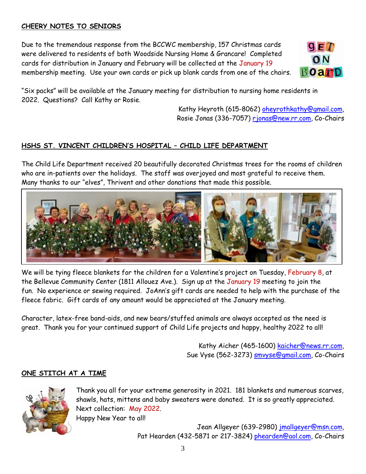### **CHEERY NOTES TO SENIORS**

Due to the tremendous response from the BCCWC membership, 157 Christmas cards were delivered to residents of both Woodside Nursing Home & Grancare! Completed cards for distribution in January and February will be collected at the January 19 membership meeting. Use your own cards or pick up blank cards from one of the chairs.



"Six packs" will be available at the January meeting for distribution to nursing home residents in 2022. Questions? Call Kathy or Rosie.

> Kathy Heyroth (615-8062) [oheyrothkathy@gmail.com,](mailto:oheyrothkathy@gmail.com) Rosie Jonas (336-7057) [rjonas@new.rr.com,](mailto:rjonas@new.rr.com) Co-Chairs

### **HSHS ST. VINCENT CHILDREN'S HOSPITAL – CHILD LIFE DEPARTMENT**

The Child Life Department received 20 beautifully decorated Christmas trees for the rooms of children who are in-patients over the holidays. The staff was overjoyed and most grateful to receive them. Many thanks to our "elves", Thrivent and other donations that made this possible.



We will be tying fleece blankets for the children for a Valentine's project on Tuesday, February 8, at the Bellevue Community Center (1811 Allouez Ave.). Sign up at the January 19 meeting to join the fun. No experience or sewing required. JoAnn's gift cards are needed to help with the purchase of the fleece fabric. Gift cards of any amount would be appreciated at the January meeting.

Character, latex-free band-aids, and new bears/stuffed animals are always accepted as the need is great. Thank you for your continued support of Child Life projects and happy, healthy 2022 to all!

> Kathy Aicher (465-1600) [kaicher@news.rr.com,](mailto:kaicher@news.rr.com) Sue Vyse (562-3273) smyyse@gmail.com, Co-Chairs

#### **ONE STITCH AT A TIME**



Thank you all for your extreme generosity in 2021. 181 blankets and numerous scarves, shawls, hats, mittens and baby sweaters were donated. It is so greatly appreciated. Next collection: May 2022. Happy New Year to all!

> Jean Allgeyer (639-2980) [jmallgeyer@msn.com,](mailto:jmallgeyer@msn.com) Pat Hearden (432-5871 or 217-3824) [phearden@aol.com,](mailto:phearden@aol.com) Co-Chairs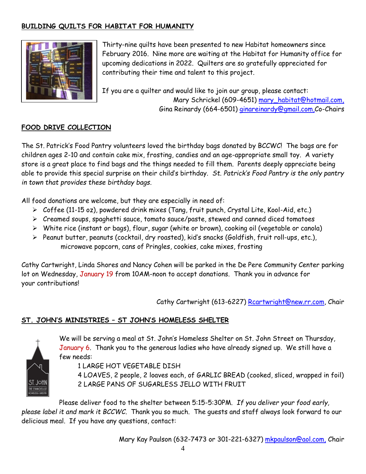## **BUILDING QUILTS FOR HABITAT FOR HUMANITY**



Thirty-nine quilts have been presented to new Habitat homeowners since February 2016. Nine more are waiting at the Habitat for Humanity office for upcoming dedications in 2022. Quilters are so gratefully appreciated for contributing their time and talent to this project.

If you are a quilter and would like to join our group, please contact: Mary Schrickel (609-4651) [mary\\_habitat@hotmail.com,](mailto:mary_habitat@hotmail.com) Gina Reinardy (664-6501) [ginareinardy@gmail.com,](mailto:ginareinardy@gmail.com)Co-Chairs

#### **FOOD DRIVE COLLECTION**

The St. Patrick's Food Pantry volunteers loved the birthday bags donated by BCCWC! The bags are for children ages 2-10 and contain cake mix, frosting, candies and an age-appropriate small toy. A variety store is a great place to find bags and the things needed to fill them. Parents deeply appreciate being able to provide this special surprise on their child's birthday. *St. Patrick's Food Pantry is the only pantry in town that provides these birthday bags*.

All food donations are welcome, but they are especially in need of:

- Coffee (11-15 oz), powdered drink mixes (Tang, fruit punch, Crystal Lite, Kool-Aid, etc.)
- $\triangleright$  Creamed soups, spaghetti sauce, tomato sauce/paste, stewed and canned diced tomatoes
- $\triangleright$  White rice (instant or bags), flour, sugar (white or brown), cooking oil (vegetable or canola)
- $\triangleright$  Peanut butter, peanuts (cocktail, dry roasted), kid's snacks (Goldfish, fruit roll-ups, etc.), microwave popcorn, cans of Pringles, cookies, cake mixes, frosting

Cathy Cartwright, Linda Shores and Nancy Cohen will be parked in the De Pere Community Center parking lot on Wednesday, January 19 from 10AM-noon to accept donations. Thank you in advance for your contributions!

Cathy Cartwright (613-6227) [Rcartwright@new.rr.com,](mailto:Rcartwright@new.rr.com) Chair

#### **ST. JOHN'S MINISTRIES – ST JOHN'S HOMELESS SHELTER**



We will be serving a meal at St. John's Homeless Shelter on St. John Street on Thursday, January 6. Thank you to the generous ladies who have already signed up. We still have a few needs:

1 LARGE HOT VEGETABLE DISH

4 LOAVES, 2 people, 2 loaves each, of GARLIC BREAD (cooked, sliced, wrapped in foil) 2 LARGE PANS OF SUGARLESS JELLO WITH FRUIT

Please deliver food to the shelter between 5:15-5:30PM. *If you deliver your food early, please label it and mark it BCCWC*. Thank you so much. The guests and staff always look forward to our delicious meal. If you have any questions, contact:

Mary Kay Paulson (632-7473 or 301-221-6327) [mkpaulson@aol.com,](mailto:mkpaulson@aol.com) Chair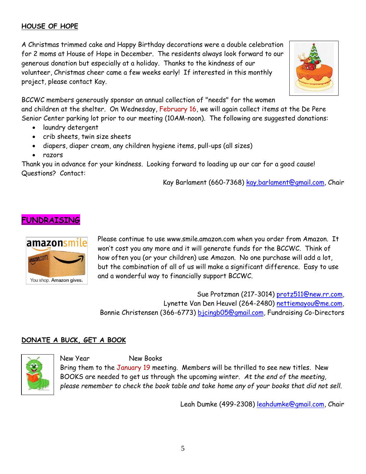## **HOUSE OF HOPE**

A Christmas trimmed cake and Happy Birthday decorations were a double celebration for 2 moms at House of Hope in December. The residents always look forward to our generous donation but especially at a holiday. Thanks to the kindness of our volunteer, Christmas cheer came a few weeks early! If interested in this monthly project, please contact Kay.



BCCWC members generously sponsor an annual collection of "needs" for the women and children at the shelter. On Wednesday, February 16, we will again collect items at the De Pere Senior Center parking lot prior to our meeting (10AM-noon). The following are suggested donations:

- laundry detergent
- crib sheets, twin size sheets
- diapers, diaper cream, any children hygiene items, pull-ups (all sizes)
- razors

Thank you in advance for your kindness. Looking forward to loading up our car for a good cause! Questions? Contact:

Kay Barlament (660-7368) [kay.barlament@gmail.](mailto:kay.barlament@gmail)com, Chair

# **FUNDRAISING**



Please continue to use [www.smile.amazon.com](http://www.smile.amazon.com/) when you order from Amazon. It won't cost you any more and it will generate funds for the BCCWC. Think of how often you (or your children) use Amazon. No one purchase will add a lot, but the combination of all of us will make a significant difference. Easy to use and a wonderful way to financially support BCCWC.

Sue Protzman (217-3014) [protz511@new.rr.com,](mailto:protz511@new.rr.com) Lynette Van Den Heuvel (264-2480) [nettiemayou@me.com,](mailto:nettiemayou@me.com) Bonnie Christensen (366-6773) [bjcingb05@gmail.com,](mailto:bjcingb05@gmail.com) Fundraising Co-Directors

# **DONATE A BUCK, GET A BOOK**



New Year New Books

Bring them to the January 19 meeting. Members will be thrilled to see new titles. New BOOKS are needed to get us through the upcoming winter. *At the end of the meeting, please remember to check the book table and take home any of your books that did not sell*.

Leah Dumke (499-2308) [leahdumke@gmail.com,](mailto:leahdumke@gmail.com) Chair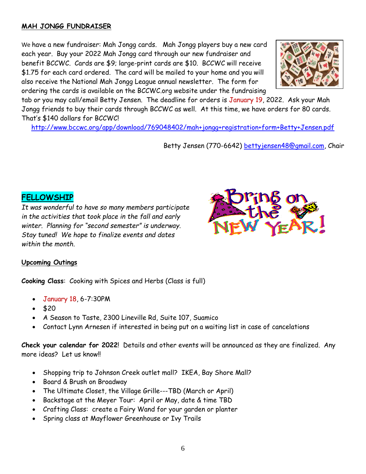#### **MAH JONGG FUNDRAISER**

We have a new fundraiser: Mah Jongg cards. Mah Jongg players buy a new card each year. Buy your 2022 Mah Jongg card through our new fundraiser and benefit BCCWC. Cards are \$9; large-print cards are \$10. BCCWC will receive \$1.75 for each card ordered. The card will be mailed to your home and you will also receive the National Mah Jongg League annual newsletter. The form for ordering the cards is available on the BCCWC.org website under the fundraising



tab or you may call/email Betty Jensen. The deadline for orders is January 19, 2022. Ask your Mah Jongg friends to buy their cards through BCCWC as well. At this time, we have orders for 80 cards. That's \$140 dollars for BCCWC!

<http://www.bccwc.org/app/download/769048402/mah+jongg+registration+form+Betty+Jensen.pdf>

Betty Jensen (770-6642) [bettyjensen48@gmail.com,](mailto:bettyjensen48@gmail.com) Chair

#### **FELLOWSHIP**

*It was wonderful to have so many members participate in the activities that took place in the fall and early winter. Planning for "second semester" is underway. Stay tuned! We hope to finalize events and dates within the month.* 



#### **Upcoming Outings**

**Cooking Class**: Cooking with Spices and Herbs (Class is full)

- January 18, 6-7:30PM
- $520$
- A Season to Taste, 2300 Lineville Rd, Suite 107, Suamico
- Contact Lynn Arnesen if interested in being put on a waiting list in case of cancelations

**Check your calendar for 2022**! Details and other events will be announced as they are finalized. Any more ideas? Let us know!!

- Shopping trip to Johnson Creek outlet mall? IKEA, Bay Shore Mall?
- Board & Brush on Broadway
- The Ultimate Closet, the Village Grille---TBD (March or April)
- Backstage at the Meyer Tour: April or May, date & time TBD
- Crafting Class: create a Fairy Wand for your garden or planter
- Spring class at Mayflower Greenhouse or Ivy Trails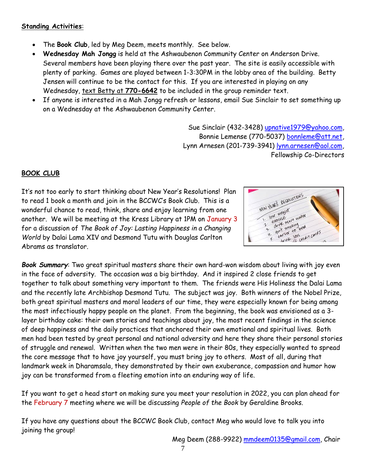#### **Standing Activities**:

- The **Book Club**, led by Meg Deem, meets monthly. See below.
- **Wednesday Mah Jongg** is held at the Ashwaubenon Community Center on Anderson Drive. Several members have been playing there over the past year. The site is easily accessible with plenty of parking. Games are played between 1-3:30PM in the lobby area of the building. Betty Jensen will continue to be the contact for this. If you are interested in playing on any Wednesday, text Betty at **770-6642** to be included in the group reminder text.
- If anyone is interested in a Mah Jongg refresh or lessons, email Sue Sinclair to set something up on a Wednesday at the Ashwaubenon Community Center.

Sue Sinclair (432-3428) [upnative1979@yahoo.com,](mailto:upnative1979@yahoo.com) Bonnie Lemense (770-5037) [bonnleme@att.net,](mailto:bonnleme@att.net) Lynn Arnesen (201-739-3941) [lynn.arnesen@aol.com,](mailto:lynn.arnesen@aol.com) Fellowship Co-Directors

#### **BOOK CLUB**

It's not too early to start thinking about New Year's Resolutions! Plan to read 1 book a month and join in the BCCWC's Book Club. This is a wonderful chance to read, think, share and enjoy learning from one another. We will be meeting at the Kress Library at 1PM on January 3 for a discussion of *The Book of Joy: Lasting Happiness in a Changing World* by Dalai Lama XIV and Desmond Tutu with Douglas Carlton Abrams as translator.



*Book Summary*: Two great spiritual masters share their own hard-won wisdom about living with joy even in the face of adversity. The occasion was a big birthday. And it inspired 2 close friends to get together to talk about something very important to them. The friends were His Holiness the Dalai Lama and the recently late Archbishop Desmond Tutu. The subject was joy. Both winners of the Nobel Prize, both great spiritual masters and moral leaders of our time, they were especially known for being among the most infectiously happy people on the planet. From the beginning, the book was envisioned as a 3 layer birthday cake: their own stories and teachings about joy, the most recent findings in the science of deep happiness and the daily practices that anchored their own emotional and spiritual lives. Both men had been tested by great personal and national adversity and here they share their personal stories of struggle and renewal. Written when the two men were in their 80s, they especially wanted to spread the core message that to have joy yourself, you must bring joy to others. Most of all, during that landmark week in Dharamsala, they demonstrated by their own exuberance, compassion and humor how joy can be transformed from a fleeting emotion into an enduring way of life.

If you want to get a head start on making sure you meet your resolution in 2022, you can plan ahead for the February 7 meeting where we will be discussing *People of the Book* by Geraldine Brooks.

If you have any questions about the BCCWC Book Club, contact Meg who would love to talk you into joining the group!

Meg Deem (288-9922) [mmdeem0135@gmail.com,](mailto:mmdeem0135@gmail.com) Chair